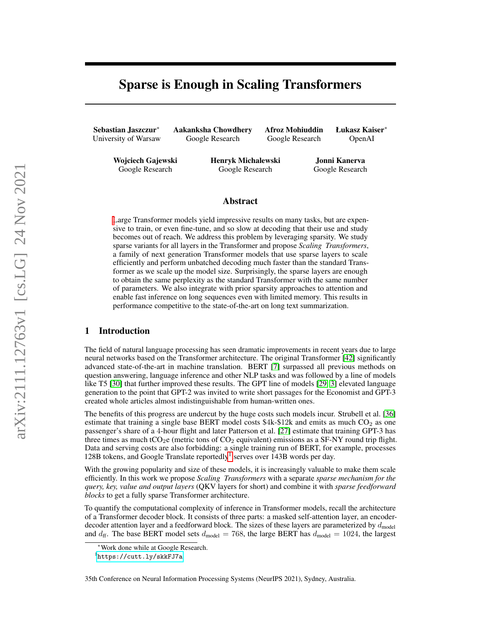# Sparse is Enough in Scaling Transformers

Sebastian Jaszczur<sup>∗</sup> University of Warsaw Aakanksha Chowdhery Google Research

Afroz Mohiuddin Google Research

Łukasz Kaiser<sup>∗</sup> OpenAI

Wojciech Gajewski Google Research

Henryk Michalewski Google Research

Jonni Kanerva Google Research

## Abstract

[L](#page-0-0)arge Transformer models yield impressive results on many tasks, but are expensive to train, or even fine-tune, and so slow at decoding that their use and study becomes out of reach. We address this problem by leveraging sparsity. We study sparse variants for all layers in the Transformer and propose *Scaling Transformers*, a family of next generation Transformer models that use sparse layers to scale efficiently and perform unbatched decoding much faster than the standard Transformer as we scale up the model size. Surprisingly, the sparse layers are enough to obtain the same perplexity as the standard Transformer with the same number of parameters. We also integrate with prior sparsity approaches to attention and enable fast inference on long sequences even with limited memory. This results in performance competitive to the state-of-the-art on long text summarization.

# 1 Introduction

The field of natural language processing has seen dramatic improvements in recent years due to large neural networks based on the Transformer architecture. The original Transformer [\[42\]](#page-11-0) significantly advanced state-of-the-art in machine translation. BERT [\[7\]](#page-9-0) surpassed all previous methods on question answering, language inference and other NLP tasks and was followed by a line of models like T5 [\[30\]](#page-11-1) that further improved these results. The GPT line of models [\[29,](#page-11-2) [3\]](#page-9-1) elevated language generation to the point that GPT-2 was invited to write short passages for the Economist and GPT-3 created whole articles almost indistinguishable from human-written ones.

The benefits of this progress are undercut by the huge costs such models incur. Strubell et al. [\[36\]](#page-11-3) estimate that training a single base BERT model costs  $$4k-$12k$  and emits as much  $CO<sub>2</sub>$  as one passenger's share of a 4-hour flight and later Patterson et al. [\[27\]](#page-11-4) estimate that training GPT-3 has three times as much tCO<sub>2</sub>e (metric tons of CO<sub>2</sub> equivalent) emissions as a SF-NY round trip flight. Data and serving costs are also forbidding: a single training run of BERT, for example, processes [1](#page-0-1)28B tokens, and Google Translate reportedly<sup>1</sup> serves over 143B words per day.

With the growing popularity and size of these models, it is increasingly valuable to make them scale efficiently. In this work we propose *Scaling Transformers* with a separate *sparse mechanism for the query, key, value and output layers* (QKV layers for short) and combine it with *sparse feedforward blocks* to get a fully sparse Transformer architecture.

To quantify the computational complexity of inference in Transformer models, recall the architecture of a Transformer decoder block. It consists of three parts: a masked self-attention layer, an encoderdecoder attention layer and a feedforward block. The sizes of these layers are parameterized by  $d_{\text{model}}$ and  $d_{\text{ff}}$ . The base BERT model sets  $d_{\text{model}} = 768$ , the large BERT has  $d_{\text{model}} = 1024$ , the largest

<span id="page-0-0"></span><sup>∗</sup>Work done while at Google Research.

<span id="page-0-1"></span><sup>1</sup> <https://cutt.ly/skkFJ7a>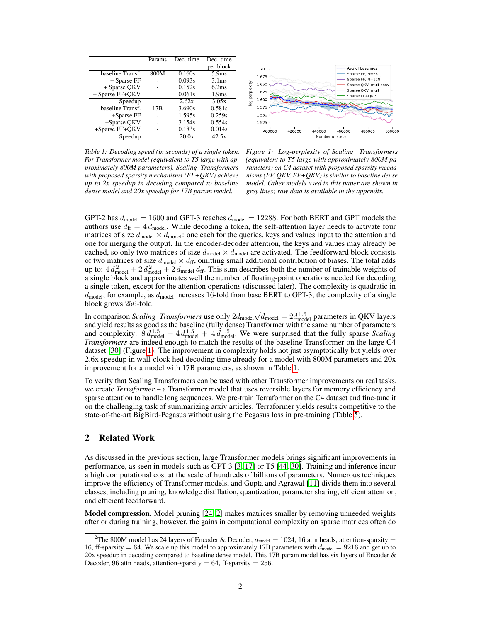<span id="page-1-0"></span>

|                  | Params | Dec. time | Dec. time         |
|------------------|--------|-----------|-------------------|
|                  |        |           | per block         |
| baseline Transf. | 800M   | 0.160s    | 5.9 <sub>ms</sub> |
| + Sparse FF      |        | 0.093s    | 3.1 <sub>ms</sub> |
| + Sparse QKV     |        | 0.152s    | 6.2ms             |
| + Sparse FF+QKV  |        | 0.061s    | 1.9 <sub>ms</sub> |
| Speedup          |        | 2.62x     | 3.05x             |
| baseline Transf. | 17B    | 3.690s    | 0.581s            |
| $+$ Sparse FF    |        | 1.595s    | 0.259s            |
| +Sparse QKV      |        | 3.154s    | 0.554s            |
| +Sparse FF+QKV   |        | 0.183s    | 0.014s            |
| Speedup          |        | 20.0x     | 42.5x             |

Avg of baselines 1.700 Sparse FF  $N=64$ 1.675 Sparse FF, N=128 xity 1.650 .<br>Sparse QKV, mult-conv Sparse OKV mult log-perple 1.625 Sparse FF+QKV 1.600 1.575 1.550 1.525 400000 420000 460000 480000 500000 440000 Number of steps

*Table 1: Decoding speed (in seconds) of a single token. For Transformer model (equivalent to T5 large with approximately 800M parameters), Scaling Transformers with proposed sparsity mechanisms (FF+QKV) achieve up to 2x speedup in decoding compared to baseline dense model and 20x speedup for 17B param model.*

*Figure 1: Log-perplexity of Scaling Transformers (equivalent to T5 large with approximately 800M parameters) on C4 dataset with proposed sparsity mechanisms (FF, QKV, FF+QKV) is similar to baseline dense model. Other models used in this paper are shown in grey lines; raw data is available in the appendix.*

GPT-2 has  $d_{\text{model}} = 1600$  and GPT-3 reaches  $d_{\text{model}} = 12288$ . For both BERT and GPT models the authors use  $d_{\text{ff}} = 4 d_{\text{model}}$ . While decoding a token, the self-attention layer needs to activate four matrices of size  $d_{\text{model}} \times d_{\text{model}}$ : one each for the queries, keys and values input to the attention and one for merging the output. In the encoder-decoder attention, the keys and values may already be cached, so only two matrices of size  $d_{\text{model}} \times d_{\text{model}}$  are activated. The feedforward block consists of two matrices of size  $d_{\text{model}} \times d_{\text{ff}}$ , omitting small additional contribution of biases. The total adds up to:  $4 d_{\text{model}}^2 + 2 d_{\text{model}}^2 + 2 d_{\text{model}} d_{\text{ff}}$ . This sum describes both the number of trainable weights of a single block and approximates well the number of floating-point operations needed for decoding a single token, except for the attention operations (discussed later). The complexity is quadratic in  $d_{\text{model}}$ ; for example, as  $d_{\text{model}}$  increases 16-fold from base BERT to GPT-3, the complexity of a single block grows 256-fold.

In comparison *Scaling Transformers* use only  $2d_{\text{model}}\sqrt{d_{\text{model}}} = 2d_{\text{model}}^{1.5}$  parameters in QKV layers and yield results as good as the baseline (fully dense) Transformer with the same number of parameters and complexity:  $8 d_{\text{model}}^{1.5} + 4 d_{\text{model}}^{1.5} + 4 d_{\text{model}}^{1.5}$ . We were surprised that the fully sparse *Scaling Transformers* are indeed enough to match the results of the baseline Transformer on the large C4 dataset [\[30\]](#page-11-1) (Figure [1\)](#page-1-0). The improvement in complexity holds not just asymptotically but yields over 2.6x speedup in wall-clock hed decoding time already for a model with 800M parameters and 20x improvement for a model with 17B parameters, as shown in Table [1.](#page-1-0)

To verify that Scaling Transformers can be used with other Transformer improvements on real tasks, we create *Terraformer* – a Transformer model that uses reversible layers for memory efficiency and sparse attention to handle long sequences. We pre-train Terraformer on the C4 dataset and fine-tune it on the challenging task of summarizing arxiv articles. Terraformer yields results competitive to the state-of-the-art BigBird-Pegasus without using the Pegasus loss in pre-training (Table [5\)](#page-8-0).

## 2 Related Work

As discussed in the previous section, large Transformer models brings significant improvements in performance, as seen in models such as GPT-3 [\[3,](#page-9-1) [17\]](#page-10-0) or T5 [\[44,](#page-12-0) [30\]](#page-11-1). Training and inference incur a high computational cost at the scale of hundreds of billions of parameters. Numerous techniques improve the efficiency of Transformer models, and Gupta and Agrawal [\[11\]](#page-10-1) divide them into several classes, including pruning, knowledge distillation, quantization, parameter sharing, efficient attention, and efficient feedforward.

**Model compression.** Model pruning [\[24,](#page-10-2) [2\]](#page-9-2) makes matrices smaller by removing unneeded weights after or during training, however, the gains in computational complexity on sparse matrices often do

<sup>&</sup>lt;sup>2</sup>The 800M model has 24 layers of Encoder & Decoder,  $d_{\text{model}} = 1024$ , 16 attn heads, attention-sparsity = 16, ff-sparsity = 64. We scale up this model to approximately 17B parameters with  $d_{\text{model}} = 9216$  and get up to 20x speedup in decoding compared to baseline dense model. This 17B param model has six layers of Encoder & Decoder, 96 attn heads, attention-sparsity =  $64$ , ff-sparsity =  $256$ .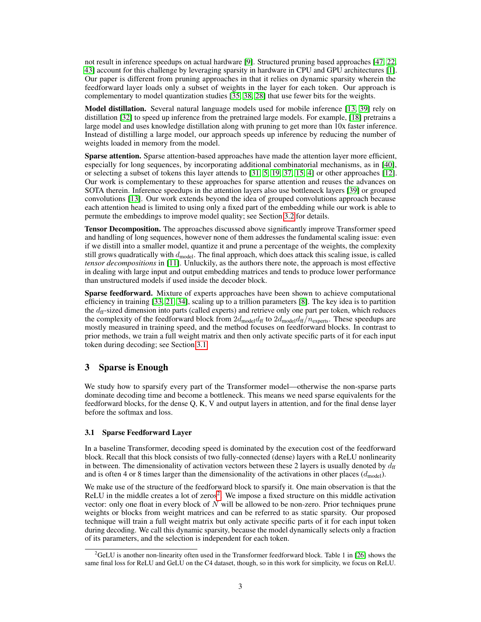not result in inference speedups on actual hardware [\[9\]](#page-9-3). Structured pruning based approaches [\[47,](#page-12-1) [22,](#page-10-3) [43\]](#page-11-5) account for this challenge by leveraging sparsity in hardware in CPU and GPU architectures [\[1\]](#page-9-4). Our paper is different from pruning approaches in that it relies on dynamic sparsity wherein the feedforward layer loads only a subset of weights in the layer for each token. Our approach is complementary to model quantization studies [\[35,](#page-11-6) [38,](#page-11-7) [28\]](#page-11-8) that use fewer bits for the weights.

Model distillation. Several natural language models used for mobile inference [\[13,](#page-10-4) [39\]](#page-11-9) rely on distillation [\[32\]](#page-11-10) to speed up inference from the pretrained large models. For example, [\[18\]](#page-10-5) pretrains a large model and uses knowledge distillation along with pruning to get more than 10x faster inference. Instead of distilling a large model, our approach speeds up inference by reducing the number of weights loaded in memory from the model.

Sparse attention. Sparse attention-based approaches have made the attention layer more efficient, especially for long sequences, by incorporating additional combinatorial mechanisms, as in [\[40\]](#page-11-11), or selecting a subset of tokens this layer attends to [\[31,](#page-11-12) [5,](#page-9-5) [19,](#page-10-6) [37,](#page-11-13) [15,](#page-10-7) [4\]](#page-9-6) or other approaches [\[12\]](#page-10-8). Our work is complementary to these approaches for sparse attention and reuses the advances on SOTA therein. Inference speedups in the attention layers also use bottleneck layers [\[39\]](#page-11-9) or grouped convolutions [\[13\]](#page-10-4). Our work extends beyond the idea of grouped convolutions approach because each attention head is limited to using only a fixed part of the embedding while our work is able to permute the embeddings to improve model quality; see Section [3.2](#page-4-0) for details.

Tensor Decomposition. The approaches discussed above significantly improve Transformer speed and handling of long sequences, however none of them addresses the fundamental scaling issue: even if we distill into a smaller model, quantize it and prune a percentage of the weights, the complexity still grows quadratically with  $d_{\text{model}}$ . The final approach, which does attack this scaling issue, is called *tensor decompositions* in [\[11\]](#page-10-1). Unluckily, as the authors there note, the approach is most effective in dealing with large input and output embedding matrices and tends to produce lower performance than unstructured models if used inside the decoder block.

Sparse feedforward. Mixture of experts approaches have been shown to achieve computational efficiency in training [\[33,](#page-11-14) [21,](#page-10-9) [34\]](#page-11-15), scaling up to a trillion parameters [\[8\]](#page-9-7). The key idea is to partition the  $d_{\rm ff}$ -sized dimension into parts (called experts) and retrieve only one part per token, which reduces the complexity of the feedforward block from  $2d_{\text{model}}d_{\text{ff}}$  to  $2d_{\text{model}}d_{\text{ff}}/n_{\text{expert}}$ . These speedups are mostly measured in training speed, and the method focuses on feedforward blocks. In contrast to prior methods, we train a full weight matrix and then only activate specific parts of it for each input token during decoding; see Section [3.1.](#page-2-0)

# 3 Sparse is Enough

We study how to sparsify every part of the Transformer model—otherwise the non-sparse parts dominate decoding time and become a bottleneck. This means we need sparse equivalents for the feedforward blocks, for the dense Q, K, V and output layers in attention, and for the final dense layer before the softmax and loss.

# <span id="page-2-0"></span>3.1 Sparse Feedforward Layer

In a baseline Transformer, decoding speed is dominated by the execution cost of the feedforward block. Recall that this block consists of two fully-connected (dense) layers with a ReLU nonlinearity in between. The dimensionality of activation vectors between these 2 layers is usually denoted by  $d_{\rm ff}$ and is often 4 or 8 times larger than the dimensionality of the activations in other places  $(d_{\text{model}})$ .

We make use of the structure of the feedforward block to sparsify it. One main observation is that the ReLU in the middle creates a lot of zeros<sup>[2](#page-2-1)</sup>. We impose a fixed structure on this middle activation vector: only one float in every block of  $N$  will be allowed to be non-zero. Prior techniques prune weights or blocks from weight matrices and can be referred to as static sparsity. Our proposed technique will train a full weight matrix but only activate specific parts of it for each input token during decoding. We call this dynamic sparsity, because the model dynamically selects only a fraction of its parameters, and the selection is independent for each token.

<span id="page-2-1"></span> ${}^{2}$ GeLU is another non-linearity often used in the Transformer feedforward block. Table 1 in [\[26\]](#page-10-10) shows the same final loss for ReLU and GeLU on the C4 dataset, though, so in this work for simplicity, we focus on ReLU.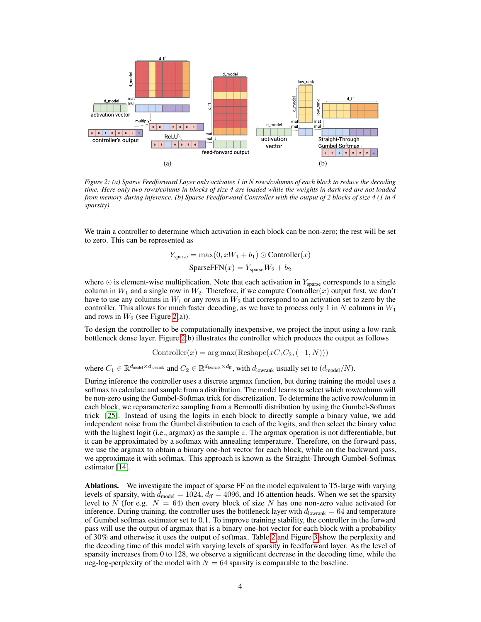<span id="page-3-0"></span>

*Figure 2: (a) Sparse Feedforward Layer only activates 1 in N rows/columns of each block to reduce the decoding time. Here only two rows/colums in blocks of size 4 are loaded while the weights in dark red are not loaded from memory during inference. (b) Sparse Feedforward Controller with the output of 2 blocks of size 4 (1 in 4 sparsity).*

We train a controller to determine which activation in each block can be non-zero; the rest will be set to zero. This can be represented as

$$
Y_{\text{sparse}} = \max(0, xW_1 + b_1) \odot \text{Controller}(x)
$$

$$
\text{SparseFFN}(x) = Y_{\text{sparse}}W_2 + b_2
$$

where  $\odot$  is element-wise multiplication. Note that each activation in  $Y_{\text{sparse}}$  corresponds to a single column in  $W_1$  and a single row in  $W_2$ . Therefore, if we compute Controller(x) output first, we don't have to use any columns in  $W_1$  or any rows in  $W_2$  that correspond to an activation set to zero by the controller. This allows for much faster decoding, as we have to process only 1 in N columns in  $W_1$ and rows in  $W_2$  (see Figure [2\(](#page-3-0)a)).

To design the controller to be computationally inexpensive, we project the input using a low-rank bottleneck dense layer. Figure [2\(](#page-3-0)b) illustrates the controller which produces the output as follows

$$
Controller(x) = arg max(Reshape(xC1C2, (-1, N)))
$$

where  $C_1 \in \mathbb{R}^{d_{\text{model}} \times d_{\text{lowrank}}}$  and  $C_2 \in \mathbb{R}^{d_{\text{lowrank}} \times d_{\text{ff}}}$ , with  $d_{\text{lowrank}}$  usually set to  $(d_{\text{model}}/N)$ .

During inference the controller uses a discrete argmax function, but during training the model uses a softmax to calculate and sample from a distribution. The model learns to select which row/column will be non-zero using the Gumbel-Softmax trick for discretization. To determine the active row/column in each block, we reparameterize sampling from a Bernoulli distribution by using the Gumbel-Softmax trick [\[25\]](#page-10-11). Instead of using the logits in each block to directly sample a binary value, we add independent noise from the Gumbel distribution to each of the logits, and then select the binary value with the highest logit (i.e., argmax) as the sample z. The argmax operation is not differentiable, but it can be approximated by a softmax with annealing temperature. Therefore, on the forward pass, we use the argmax to obtain a binary one-hot vector for each block, while on the backward pass, we approximate it with softmax. This approach is known as the Straight-Through Gumbel-Softmax estimator [\[14\]](#page-10-12).

Ablations. We investigate the impact of sparse FF on the model equivalent to T5-large with varying levels of sparsity, with  $d_{\text{model}} = 1024$ ,  $d_{\text{ff}} = 4096$ , and 16 attention heads. When we set the sparsity level to N (for e.g.  $N = 64$ ) then every block of size N has one non-zero value activated for inference. During training, the controller uses the bottleneck layer with  $d_{\text{lowrank}} = 64$  and temperature of Gumbel softmax estimator set to 0.1. To improve training stability, the controller in the forward pass will use the output of argmax that is a binary one-hot vector for each block with a probability of 30% and otherwise it uses the output of softmax. Table [2](#page-4-1) and Figure [3](#page-4-1) show the perplexity and the decoding time of this model with varying levels of sparsity in feedforward layer. As the level of sparsity increases from 0 to 128, we observe a significant decrease in the decoding time, while the neg-log-perplexity of the model with  $N = 64$  sparsity is comparable to the baseline.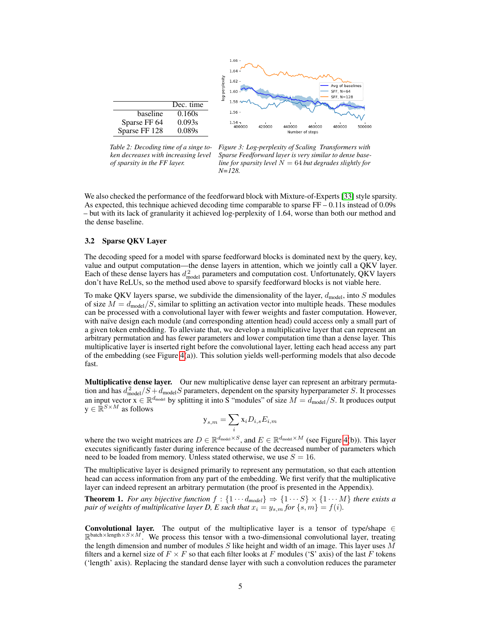<span id="page-4-1"></span>

*Table 2: Decoding time of a singe token decreases with increasing level of sparsity in the FF layer.*

*Figure 3: Log-perplexity of Scaling Transformers with Sparse Feedforward layer is very similar to dense baseline for sparsity level*  $N = 64$  *but degrades slightly for N=128.*

We also checked the performance of the feedforward block with Mixture-of-Experts [\[33\]](#page-11-14) style sparsity. As expected, this technique achieved decoding time comparable to sparse  $FF - 0.11$  s instead of 0.09s – but with its lack of granularity it achieved log-perplexity of 1.64, worse than both our method and the dense baseline.

## <span id="page-4-0"></span>3.2 Sparse QKV Layer

The decoding speed for a model with sparse feedforward blocks is dominated next by the query, key, value and output computation—the dense layers in attention, which we jointly call a QKV layer. Each of these dense layers has  $d_{\text{model}}^2$  parameters and computation cost. Unfortunately, QKV layers don't have ReLUs, so the method used above to sparsify feedforward blocks is not viable here.

To make QKV layers sparse, we subdivide the dimensionality of the layer,  $d_{\text{model}}$ , into S modules of size  $M = d_{\text{model}}/S$ , similar to splitting an activation vector into multiple heads. These modules can be processed with a convolutional layer with fewer weights and faster computation. However, with naïve design each module (and corresponding attention head) could access only a small part of a given token embedding. To alleviate that, we develop a multiplicative layer that can represent an arbitrary permutation and has fewer parameters and lower computation time than a dense layer. This multiplicative layer is inserted right before the convolutional layer, letting each head access any part of the embedding (see Figure [4\(](#page-5-0)a)). This solution yields well-performing models that also decode fast.

Multiplicative dense layer. Our new multiplicative dense layer can represent an arbitrary permutation and has  $d_{\text{model}}^2 / S + d_{\text{model}} S$  parameters, dependent on the sparsity hyperparameter S. It processes an input vector  $x \in \mathbb{R}^{d_{\text{model}}}$  by splitting it into S "modules" of size  $M = d_{\text{model}}/S$ . It produces output  $y \in \mathbb{R}^{S \times M}$  as follows

$$
\mathbf{y}_{s,m} = \sum_i \mathbf{x}_i D_{i,s} E_{i,m}
$$

where the two weight matrices are  $D \in \mathbb{R}^{d_{\text{model}} \times S}$ , and  $E \in \mathbb{R}^{d_{\text{model}} \times M}$  (see Figure [4\(](#page-5-0)b)). This layer executes significantly faster during inference because of the decreased number of parameters which need to be loaded from memory. Unless stated otherwise, we use  $S = 16$ .

The multiplicative layer is designed primarily to represent any permutation, so that each attention head can access information from any part of the embedding. We first verify that the multiplicative layer can indeed represent an arbitrary permutation (the proof is presented in the Appendix).

**Theorem 1.** *For any bijective function*  $f : \{1 \cdots d_{model}\} \Rightarrow \{1 \cdots S\} \times \{1 \cdots M\}$  *there exists a pair of weights of multiplicative layer D, E such that*  $x_i = y_{s,m}$  *for*  $\{s,m\} = f(i)$ *.* 

Convolutional layer. The output of the multiplicative layer is a tensor of type/shape  $\in$  $\mathbb{R}^{\text{batch} \times \text{length} \times S \times M}$ . We process this tensor with a two-dimensional convolutional layer, treating the length dimension and number of modules  $S$  like height and width of an image. This layer uses  $M$ filters and a kernel size of  $F \times F$  so that each filter looks at F modules ('S' axis) of the last F tokens ('length' axis). Replacing the standard dense layer with such a convolution reduces the parameter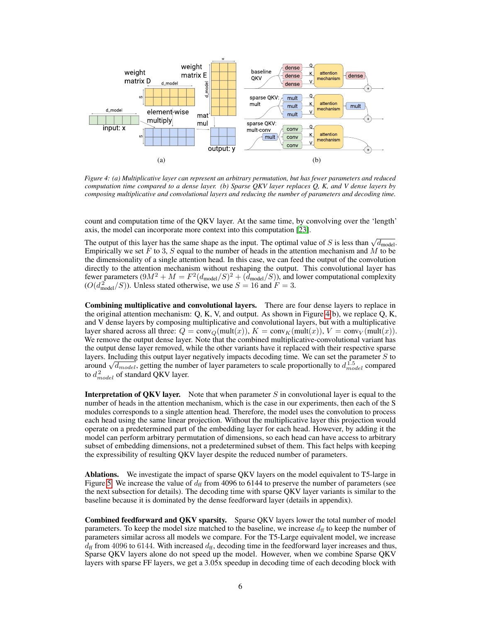<span id="page-5-0"></span>

*Figure 4: (a) Multiplicative layer can represent an arbitrary permutation, but has fewer parameters and reduced computation time compared to a dense layer. (b) Sparse QKV layer replaces Q, K, and V dense layers by composing multiplicative and convolutional layers and reducing the number of parameters and decoding time.*

count and computation time of the QKV layer. At the same time, by convolving over the 'length' axis, the model can incorporate more context into this computation [\[23\]](#page-10-13).

The output of this layer has the same shape as the input. The optimal value of S is less than  $\sqrt{d_{\text{model}}}$ . Empirically we set F to 3, S equal to the number of heads in the attention mechanism and M to be the dimensionality of a single attention head. In this case, we can feed the output of the convolution directly to the attention mechanism without reshaping the output. This convolutional layer has fewer parameters  $(9M^2 + M = F^2(d_{\text{model}}/S)^2 + (\tilde{d}_{\text{model}}/S))$ , and lower computational complexity  $(O(d_{\text{model}}^2/S))$ . Unless stated otherwise, we use  $S = 16$  and  $F = 3$ .

Combining multiplicative and convolutional layers. There are four dense layers to replace in the original attention mechanism:  $Q, K, V$ , and output. As shown in Figure [4\(](#page-5-0)b), we replace  $Q, K$ , and V dense layers by composing multiplicative and convolutional layers, but with a multiplicative layer shared across all three:  $Q = \text{conv}_Q(\text{mult}(x)), K = \text{conv}_K(\text{mult}(x)), V = \text{conv}_V(\text{mult}(x)).$ We remove the output dense layer. Note that the combined multiplicative-convolutional variant has the output dense layer removed, while the other variants have it replaced with their respective sparse layers. Including this output layer negatively impacts decoding time. We can set the parameter  $S$  to layers. Including this output layer negatively impacts decoding time. We can set the parameter S to around  $\sqrt{d_{model}}$ , getting the number of layer parameters to scale proportionally to  $d_{model}^{1.5}$  compared to  $d_{model}^2$  of standard QKV layer.

**Interpretation of QKV layer.** Note that when parameter  $S$  in convolutional layer is equal to the number of heads in the attention mechanism, which is the case in our experiments, then each of the S modules corresponds to a single attention head. Therefore, the model uses the convolution to process each head using the same linear projection. Without the multiplicative layer this projection would operate on a predetermined part of the embedding layer for each head. However, by adding it the model can perform arbitrary permutation of dimensions, so each head can have access to arbitrary subset of embedding dimensions, not a predetermined subset of them. This fact helps with keeping the expressibility of resulting QKV layer despite the reduced number of parameters.

Ablations. We investigate the impact of sparse QKV layers on the model equivalent to T5-large in Figure [5.](#page-6-0) We increase the value of  $d_{\rm ff}$  from 4096 to 6144 to preserve the number of parameters (see the next subsection for details). The decoding time with sparse QKV layer variants is similar to the baseline because it is dominated by the dense feedforward layer (details in appendix).

Combined feedforward and QKV sparsity. Sparse QKV layers lower the total number of model parameters. To keep the model size matched to the baseline, we increase  $d_f$  to keep the number of parameters similar across all models we compare. For the T5-Large equivalent model, we increase  $d_{\rm ff}$  from 4096 to 6144. With increased  $d_{\rm ff}$ , decoding time in the feedforward layer increases and thus, Sparse QKV layers alone do not speed up the model. However, when we combine Sparse QKV layers with sparse FF layers, we get a 3.05x speedup in decoding time of each decoding block with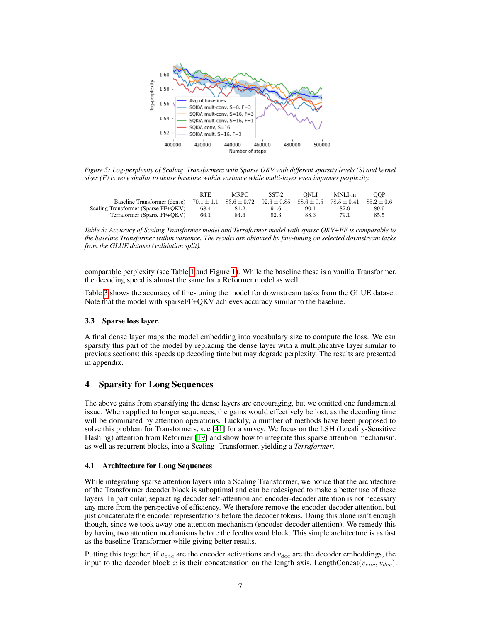<span id="page-6-0"></span>

*Figure 5: Log-perplexity of Scaling Transformers with Sparse QKV with different sparsity levels (S) and kernel sizes (F) is very similar to dense baseline within variance while multi-layer even improves perplexity.*

<span id="page-6-1"></span>

|                                     | <b>RTE</b>     | MRPC            | $SST-2$         | ONLI         | MNLI-m        | OOP          |
|-------------------------------------|----------------|-----------------|-----------------|--------------|---------------|--------------|
| Baseline Transformer (dense)        | $70.1 \pm 1.1$ | $83.6 \pm 0.72$ | $92.6 \pm 0.85$ | $88.6 + 0.5$ | $78.5 + 0.41$ | $85.2 + 0.6$ |
| Scaling Transformer (Sparse FF+QKV) | 68.4           | 81.2            | 91.6            | 90.1         | 82.9          | 89.9         |
| Terraformer (Sparse FF+OKV)         | 66.1           | 84.6            | 92.3            | 88.3         | 79.1          | 85.5         |

*Table 3: Accuracy of Scaling Transformer model and Terraformer model with sparse QKV+FF is comparable to the baseline Transformer within variance. The results are obtained by fine-tuning on selected downstream tasks from the GLUE dataset (validation split).*

comparable perplexity (see Table [1](#page-1-0) and Figure [1\)](#page-1-0). While the baseline these is a vanilla Transformer, the decoding speed is almost the same for a Reformer model as well.

Table [3](#page-6-1) shows the accuracy of fine-tuning the model for downstream tasks from the GLUE dataset. Note that the model with sparseFF+QKV achieves accuracy similar to the baseline.

#### 3.3 Sparse loss layer.

A final dense layer maps the model embedding into vocabulary size to compute the loss. We can sparsify this part of the model by replacing the dense layer with a multiplicative layer similar to previous sections; this speeds up decoding time but may degrade perplexity. The results are presented in appendix.

# 4 Sparsity for Long Sequences

The above gains from sparsifying the dense layers are encouraging, but we omitted one fundamental issue. When applied to longer sequences, the gains would effectively be lost, as the decoding time will be dominated by attention operations. Luckily, a number of methods have been proposed to solve this problem for Transformers, see [\[41\]](#page-11-16) for a survey. We focus on the LSH (Locality-Sensitive Hashing) attention from Reformer [\[19\]](#page-10-6) and show how to integrate this sparse attention mechanism, as well as recurrent blocks, into a Scaling Transformer, yielding a *Terraformer*.

#### <span id="page-6-2"></span>4.1 Architecture for Long Sequences

While integrating sparse attention layers into a Scaling Transformer, we notice that the architecture of the Transformer decoder block is suboptimal and can be redesigned to make a better use of these layers. In particular, separating decoder self-attention and encoder-decoder attention is not necessary any more from the perspective of efficiency. We therefore remove the encoder-decoder attention, but just concatenate the encoder representations before the decoder tokens. Doing this alone isn't enough though, since we took away one attention mechanism (encoder-decoder attention). We remedy this by having two attention mechanisms before the feedforward block. This simple architecture is as fast as the baseline Transformer while giving better results.

Putting this together, if  $v_{enc}$  are the encoder activations and  $v_{dec}$  are the decoder embeddings, the input to the decoder block x is their concatenation on the length axis, LengthConcat $(v_{enc}, v_{dec})$ .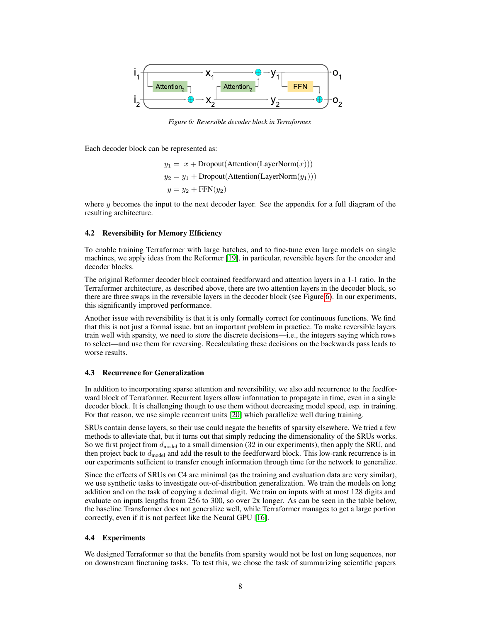<span id="page-7-0"></span>

*Figure 6: Reversible decoder block in Terraformer.*

Each decoder block can be represented as:

 $y_1 = x + \text{Dropout}(\text{Attention}(\text{LayerNorm}(x)))$  $y_2 = y_1 + \text{Dropout}(\text{Attention}(\text{LayerNorm}(y_1)))$  $y = y_2 + FFN(y_2)$ 

where  $y$  becomes the input to the next decoder layer. See the appendix for a full diagram of the resulting architecture.

#### 4.2 Reversibility for Memory Efficiency

To enable training Terraformer with large batches, and to fine-tune even large models on single machines, we apply ideas from the Reformer [\[19\]](#page-10-6), in particular, reversible layers for the encoder and decoder blocks.

The original Reformer decoder block contained feedforward and attention layers in a 1-1 ratio. In the Terraformer architecture, as described above, there are two attention layers in the decoder block, so there are three swaps in the reversible layers in the decoder block (see Figure [6\)](#page-7-0). In our experiments, this significantly improved performance.

Another issue with reversibility is that it is only formally correct for continuous functions. We find that this is not just a formal issue, but an important problem in practice. To make reversible layers train well with sparsity, we need to store the discrete decisions—i.e., the integers saying which rows to select—and use them for reversing. Recalculating these decisions on the backwards pass leads to worse results.

#### 4.3 Recurrence for Generalization

In addition to incorporating sparse attention and reversibility, we also add recurrence to the feedforward block of Terraformer. Recurrent layers allow information to propagate in time, even in a single decoder block. It is challenging though to use them without decreasing model speed, esp. in training. For that reason, we use simple recurrent units [\[20\]](#page-10-14) which parallelize well during training.

SRUs contain dense layers, so their use could negate the benefits of sparsity elsewhere. We tried a few methods to alleviate that, but it turns out that simply reducing the dimensionality of the SRUs works. So we first project from  $d_{\text{model}}$  to a small dimension (32 in our experiments), then apply the SRU, and then project back to  $d_{model}$  and add the result to the feedforward block. This low-rank recurrence is in our experiments sufficient to transfer enough information through time for the network to generalize.

Since the effects of SRUs on C4 are minimal (as the training and evaluation data are very similar), we use synthetic tasks to investigate out-of-distribution generalization. We train the models on long addition and on the task of copying a decimal digit. We train on inputs with at most 128 digits and evaluate on inputs lengths from 256 to 300, so over 2x longer. As can be seen in the table below, the baseline Transformer does not generalize well, while Terraformer manages to get a large portion correctly, even if it is not perfect like the Neural GPU [\[16\]](#page-10-15).

#### 4.4 Experiments

We designed Terraformer so that the benefits from sparsity would not be lost on long sequences, nor on downstream finetuning tasks. To test this, we chose the task of summarizing scientific papers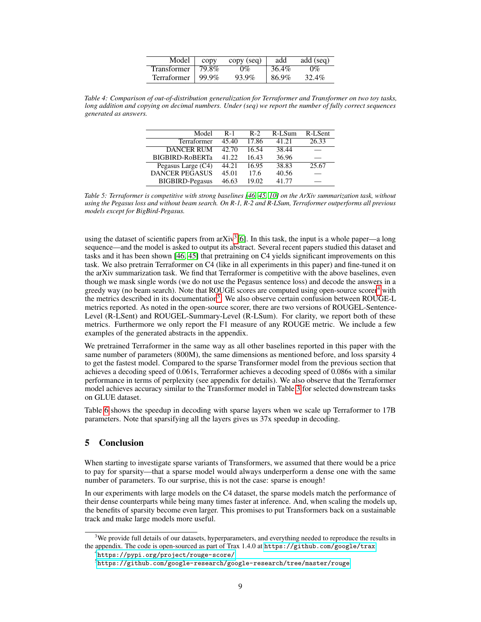| Model                  | copy | copy (seq) | add   | add (seq) |
|------------------------|------|------------|-------|-----------|
| Transformer   79.8%    |      | 0%         | 36.4% | $0\%$     |
| Terraformer   $99.9\%$ |      | 93.9%      | 86.9% | 32.4%     |

<span id="page-8-0"></span>*Table 4: Comparison of out-of-distribution generalization for Terraformer and Transformer on two toy tasks, long addition and copying on decimal numbers. Under (seq) we report the number of fully correct sequences generated as answers.*

| Model                  | $R-1$ | $R-2$ | R-LSum | R-LSent |
|------------------------|-------|-------|--------|---------|
| <b>Terraformer</b>     | 45.40 | 17.86 | 41.21  | 26.33   |
| DANCER RUM             | 42.70 | 16.54 | 38.44  |         |
| <b>BIGBIRD-RoBERTa</b> | 41.22 | 16.43 | 36.96  |         |
| Pegasus Large (C4)     | 44.21 | 16.95 | 38.83  | 25.67   |
| <b>DANCER PEGASUS</b>  | 45.01 | 17.6  | 40.56  |         |
| <b>BIGBIRD-Pegasus</b> | 46.63 | 19.02 | 41.77  |         |

*Table 5: Terraformer is competitive with strong baselines [\[46,](#page-12-2) [45,](#page-12-3) [10\]](#page-10-16) on the ArXiv summarization task, without using the Pegasus loss and without beam search. On R-1, R-2 and R-LSum, Terraformer outperforms all previous models except for BigBird-Pegasus.*

using the dataset of scientific papers from arXiv<sup>[3](#page-8-1)</sup>[\[6\]](#page-9-8). In this task, the input is a whole paper—a long sequence—and the model is asked to output its abstract. Several recent papers studied this dataset and tasks and it has been shown [\[46,](#page-12-2) [45\]](#page-12-3) that pretraining on C4 yields significant improvements on this task. We also pretrain Terraformer on C4 (like in all experiments in this paper) and fine-tuned it on the arXiv summarization task. We find that Terraformer is competitive with the above baselines, even though we mask single words (we do not use the Pegasus sentence loss) and decode the answers in a greedy way (no beam search). Note that ROUGE scores are computed using open-source scorer<sup>[4](#page-8-2)</sup> with the metrics described in its documentation<sup>[5](#page-8-3)</sup>. We also observe certain confusion between ROUGE-L metrics reported. As noted in the open-source scorer, there are two versions of ROUGEL-Sentence-Level (R-LSent) and ROUGEL-Summary-Level (R-LSum). For clarity, we report both of these metrics. Furthermore we only report the F1 measure of any ROUGE metric. We include a few examples of the generated abstracts in the appendix.

We pretrained Terraformer in the same way as all other baselines reported in this paper with the same number of parameters (800M), the same dimensions as mentioned before, and loss sparsity 4 to get the fastest model. Compared to the sparse Transformer model from the previous section that achieves a decoding speed of 0.061s, Terraformer achieves a decoding speed of 0.086s with a similar performance in terms of perplexity (see appendix for details). We also observe that the Terraformer model achieves accuracy similar to the Transformer model in Table [3](#page-6-1) for selected downstream tasks on GLUE dataset.

Table [6](#page-9-9) shows the speedup in decoding with sparse layers when we scale up Terraformer to 17B parameters. Note that sparsifying all the layers gives us 37x speedup in decoding.

# 5 Conclusion

When starting to investigate sparse variants of Transformers, we assumed that there would be a price to pay for sparsity—that a sparse model would always underperform a dense one with the same number of parameters. To our surprise, this is not the case: sparse is enough!

In our experiments with large models on the C4 dataset, the sparse models match the performance of their dense counterparts while being many times faster at inference. And, when scaling the models up, the benefits of sparsity become even larger. This promises to put Transformers back on a sustainable track and make large models more useful.

<span id="page-8-1"></span><sup>&</sup>lt;sup>3</sup>We provide full details of our datasets, hyperparameters, and everything needed to reproduce the results in the appendix. The code is open-sourced as part of Trax 1.4.0 at <https://github.com/google/trax>.

<span id="page-8-2"></span><sup>4</sup> <https://pypi.org/project/rouge-score/>

<span id="page-8-3"></span> $^5$ <https://github.com/google-research/google-research/tree/master/rouge>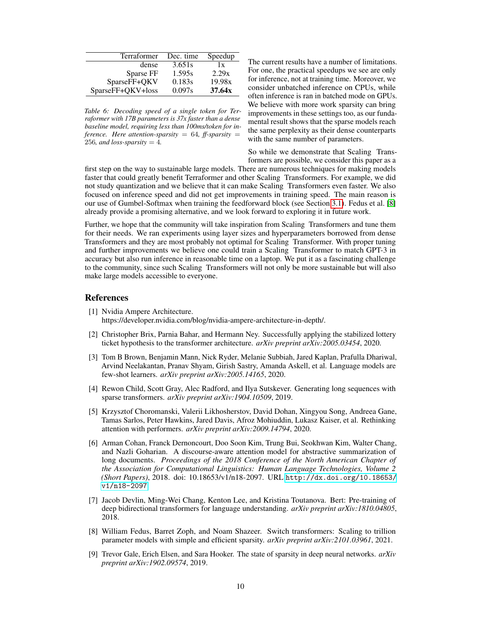<span id="page-9-9"></span>

| Terraformer       | Dec. time | Speedup |
|-------------------|-----------|---------|
| dense             | 3.651s    | 1x      |
| Sparse FF         | 1.595s    | 2.29x   |
| SparseFF+QKV      | 0.183s    | 19.98x  |
| SparseFF+QKV+loss | 0.097s    | 37.64x  |

*Table 6: Decoding speed of a single token for Terraformer with 17B parameters is 37x faster than a dense baseline model, requiring less than 100ms/token for inference. Here attention-sparsity* =  $64$ *, ff-sparsity* = 256*, and loss-sparsity* = 4*.* 

The current results have a number of limitations. For one, the practical speedups we see are only for inference, not at training time. Moreover, we consider unbatched inference on CPUs, while often inference is ran in batched mode on GPUs. We believe with more work sparsity can bring improvements in these settings too, as our fundamental result shows that the sparse models reach the same perplexity as their dense counterparts with the same number of parameters.

So while we demonstrate that Scaling Transformers are possible, we consider this paper as a

first step on the way to sustainable large models. There are numerous techniques for making models faster that could greatly benefit Terraformer and other Scaling Transformers. For example, we did not study quantization and we believe that it can make Scaling Transformers even faster. We also focused on inference speed and did not get improvements in training speed. The main reason is our use of Gumbel-Softmax when training the feedforward block (see Section [3.1\)](#page-2-0). Fedus et al. [\[8\]](#page-9-7) already provide a promising alternative, and we look forward to exploring it in future work.

Further, we hope that the community will take inspiration from Scaling Transformers and tune them for their needs. We ran experiments using layer sizes and hyperparameters borrowed from dense Transformers and they are most probably not optimal for Scaling Transformer. With proper tuning and further improvements we believe one could train a Scaling Transformer to match GPT-3 in accuracy but also run inference in reasonable time on a laptop. We put it as a fascinating challenge to the community, since such Scaling Transformers will not only be more sustainable but will also make large models accessible to everyone.

## References

- <span id="page-9-4"></span>[1] Nvidia Ampere Architecture. https://developer.nvidia.com/blog/nvidia-ampere-architecture-in-depth/.
- <span id="page-9-2"></span>[2] Christopher Brix, Parnia Bahar, and Hermann Ney. Successfully applying the stabilized lottery ticket hypothesis to the transformer architecture. *arXiv preprint arXiv:2005.03454*, 2020.
- <span id="page-9-1"></span>[3] Tom B Brown, Benjamin Mann, Nick Ryder, Melanie Subbiah, Jared Kaplan, Prafulla Dhariwal, Arvind Neelakantan, Pranav Shyam, Girish Sastry, Amanda Askell, et al. Language models are few-shot learners. *arXiv preprint arXiv:2005.14165*, 2020.
- <span id="page-9-6"></span>[4] Rewon Child, Scott Gray, Alec Radford, and Ilya Sutskever. Generating long sequences with sparse transformers. *arXiv preprint arXiv:1904.10509*, 2019.
- <span id="page-9-5"></span>[5] Krzysztof Choromanski, Valerii Likhosherstov, David Dohan, Xingyou Song, Andreea Gane, Tamas Sarlos, Peter Hawkins, Jared Davis, Afroz Mohiuddin, Lukasz Kaiser, et al. Rethinking attention with performers. *arXiv preprint arXiv:2009.14794*, 2020.
- <span id="page-9-8"></span>[6] Arman Cohan, Franck Dernoncourt, Doo Soon Kim, Trung Bui, Seokhwan Kim, Walter Chang, and Nazli Goharian. A discourse-aware attention model for abstractive summarization of long documents. *Proceedings of the 2018 Conference of the North American Chapter of the Association for Computational Linguistics: Human Language Technologies, Volume 2 (Short Papers)*, 2018. doi: 10.18653/v1/n18-2097. URL [http://dx.doi.org/10.18653/](http://dx.doi.org/10.18653/v1/n18-2097) [v1/n18-2097](http://dx.doi.org/10.18653/v1/n18-2097).
- <span id="page-9-0"></span>[7] Jacob Devlin, Ming-Wei Chang, Kenton Lee, and Kristina Toutanova. Bert: Pre-training of deep bidirectional transformers for language understanding. *arXiv preprint arXiv:1810.04805*, 2018.
- <span id="page-9-7"></span>[8] William Fedus, Barret Zoph, and Noam Shazeer. Switch transformers: Scaling to trillion parameter models with simple and efficient sparsity. *arXiv preprint arXiv:2101.03961*, 2021.
- <span id="page-9-3"></span>[9] Trevor Gale, Erich Elsen, and Sara Hooker. The state of sparsity in deep neural networks. *arXiv preprint arXiv:1902.09574*, 2019.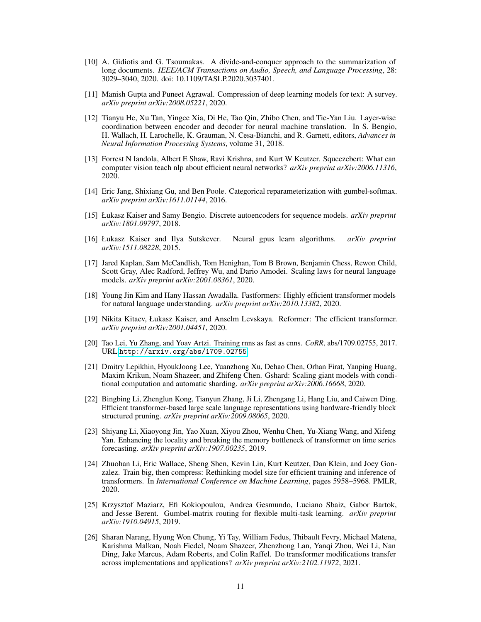- <span id="page-10-16"></span>[10] A. Gidiotis and G. Tsoumakas. A divide-and-conquer approach to the summarization of long documents. *IEEE/ACM Transactions on Audio, Speech, and Language Processing*, 28: 3029–3040, 2020. doi: 10.1109/TASLP.2020.3037401.
- <span id="page-10-1"></span>[11] Manish Gupta and Puneet Agrawal. Compression of deep learning models for text: A survey. *arXiv preprint arXiv:2008.05221*, 2020.
- <span id="page-10-8"></span>[12] Tianyu He, Xu Tan, Yingce Xia, Di He, Tao Qin, Zhibo Chen, and Tie-Yan Liu. Layer-wise coordination between encoder and decoder for neural machine translation. In S. Bengio, H. Wallach, H. Larochelle, K. Grauman, N. Cesa-Bianchi, and R. Garnett, editors, *Advances in Neural Information Processing Systems*, volume 31, 2018.
- <span id="page-10-4"></span>[13] Forrest N Iandola, Albert E Shaw, Ravi Krishna, and Kurt W Keutzer. Squeezebert: What can computer vision teach nlp about efficient neural networks? *arXiv preprint arXiv:2006.11316*, 2020.
- <span id="page-10-12"></span>[14] Eric Jang, Shixiang Gu, and Ben Poole. Categorical reparameterization with gumbel-softmax. *arXiv preprint arXiv:1611.01144*, 2016.
- <span id="page-10-7"></span>[15] Łukasz Kaiser and Samy Bengio. Discrete autoencoders for sequence models. *arXiv preprint arXiv:1801.09797*, 2018.
- <span id="page-10-15"></span>[16] Łukasz Kaiser and Ilya Sutskever. Neural gpus learn algorithms. *arXiv preprint arXiv:1511.08228*, 2015.
- <span id="page-10-0"></span>[17] Jared Kaplan, Sam McCandlish, Tom Henighan, Tom B Brown, Benjamin Chess, Rewon Child, Scott Gray, Alec Radford, Jeffrey Wu, and Dario Amodei. Scaling laws for neural language models. *arXiv preprint arXiv:2001.08361*, 2020.
- <span id="page-10-5"></span>[18] Young Jin Kim and Hany Hassan Awadalla. Fastformers: Highly efficient transformer models for natural language understanding. *arXiv preprint arXiv:2010.13382*, 2020.
- <span id="page-10-6"></span>[19] Nikita Kitaev, Łukasz Kaiser, and Anselm Levskaya. Reformer: The efficient transformer. *arXiv preprint arXiv:2001.04451*, 2020.
- <span id="page-10-14"></span>[20] Tao Lei, Yu Zhang, and Yoav Artzi. Training rnns as fast as cnns. *CoRR*, abs/1709.02755, 2017. URL <http://arxiv.org/abs/1709.02755>.
- <span id="page-10-9"></span>[21] Dmitry Lepikhin, HyoukJoong Lee, Yuanzhong Xu, Dehao Chen, Orhan Firat, Yanping Huang, Maxim Krikun, Noam Shazeer, and Zhifeng Chen. Gshard: Scaling giant models with conditional computation and automatic sharding. *arXiv preprint arXiv:2006.16668*, 2020.
- <span id="page-10-3"></span>[22] Bingbing Li, Zhenglun Kong, Tianyun Zhang, Ji Li, Zhengang Li, Hang Liu, and Caiwen Ding. Efficient transformer-based large scale language representations using hardware-friendly block structured pruning. *arXiv preprint arXiv:2009.08065*, 2020.
- <span id="page-10-13"></span>[23] Shiyang Li, Xiaoyong Jin, Yao Xuan, Xiyou Zhou, Wenhu Chen, Yu-Xiang Wang, and Xifeng Yan. Enhancing the locality and breaking the memory bottleneck of transformer on time series forecasting. *arXiv preprint arXiv:1907.00235*, 2019.
- <span id="page-10-2"></span>[24] Zhuohan Li, Eric Wallace, Sheng Shen, Kevin Lin, Kurt Keutzer, Dan Klein, and Joey Gonzalez. Train big, then compress: Rethinking model size for efficient training and inference of transformers. In *International Conference on Machine Learning*, pages 5958–5968. PMLR, 2020.
- <span id="page-10-11"></span>[25] Krzysztof Maziarz, Efi Kokiopoulou, Andrea Gesmundo, Luciano Sbaiz, Gabor Bartok, and Jesse Berent. Gumbel-matrix routing for flexible multi-task learning. *arXiv preprint arXiv:1910.04915*, 2019.
- <span id="page-10-10"></span>[26] Sharan Narang, Hyung Won Chung, Yi Tay, William Fedus, Thibault Fevry, Michael Matena, Karishma Malkan, Noah Fiedel, Noam Shazeer, Zhenzhong Lan, Yanqi Zhou, Wei Li, Nan Ding, Jake Marcus, Adam Roberts, and Colin Raffel. Do transformer modifications transfer across implementations and applications? *arXiv preprint arXiv:2102.11972*, 2021.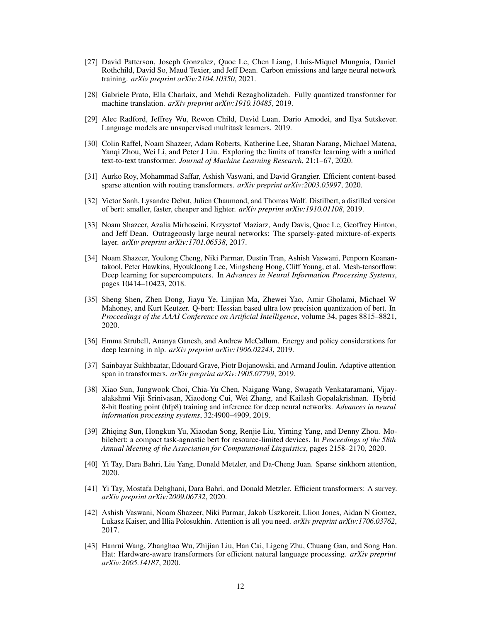- <span id="page-11-4"></span>[27] David Patterson, Joseph Gonzalez, Quoc Le, Chen Liang, Lluis-Miquel Munguia, Daniel Rothchild, David So, Maud Texier, and Jeff Dean. Carbon emissions and large neural network training. *arXiv preprint arXiv:2104.10350*, 2021.
- <span id="page-11-8"></span>[28] Gabriele Prato, Ella Charlaix, and Mehdi Rezagholizadeh. Fully quantized transformer for machine translation. *arXiv preprint arXiv:1910.10485*, 2019.
- <span id="page-11-2"></span>[29] Alec Radford, Jeffrey Wu, Rewon Child, David Luan, Dario Amodei, and Ilya Sutskever. Language models are unsupervised multitask learners. 2019.
- <span id="page-11-1"></span>[30] Colin Raffel, Noam Shazeer, Adam Roberts, Katherine Lee, Sharan Narang, Michael Matena, Yanqi Zhou, Wei Li, and Peter J Liu. Exploring the limits of transfer learning with a unified text-to-text transformer. *Journal of Machine Learning Research*, 21:1–67, 2020.
- <span id="page-11-12"></span>[31] Aurko Roy, Mohammad Saffar, Ashish Vaswani, and David Grangier. Efficient content-based sparse attention with routing transformers. *arXiv preprint arXiv:2003.05997*, 2020.
- <span id="page-11-10"></span>[32] Victor Sanh, Lysandre Debut, Julien Chaumond, and Thomas Wolf. Distilbert, a distilled version of bert: smaller, faster, cheaper and lighter. *arXiv preprint arXiv:1910.01108*, 2019.
- <span id="page-11-14"></span>[33] Noam Shazeer, Azalia Mirhoseini, Krzysztof Maziarz, Andy Davis, Quoc Le, Geoffrey Hinton, and Jeff Dean. Outrageously large neural networks: The sparsely-gated mixture-of-experts layer. *arXiv preprint arXiv:1701.06538*, 2017.
- <span id="page-11-15"></span>[34] Noam Shazeer, Youlong Cheng, Niki Parmar, Dustin Tran, Ashish Vaswani, Penporn Koanantakool, Peter Hawkins, HyoukJoong Lee, Mingsheng Hong, Cliff Young, et al. Mesh-tensorflow: Deep learning for supercomputers. In *Advances in Neural Information Processing Systems*, pages 10414–10423, 2018.
- <span id="page-11-6"></span>[35] Sheng Shen, Zhen Dong, Jiayu Ye, Linjian Ma, Zhewei Yao, Amir Gholami, Michael W Mahoney, and Kurt Keutzer. Q-bert: Hessian based ultra low precision quantization of bert. In *Proceedings of the AAAI Conference on Artificial Intelligence*, volume 34, pages 8815–8821, 2020.
- <span id="page-11-3"></span>[36] Emma Strubell, Ananya Ganesh, and Andrew McCallum. Energy and policy considerations for deep learning in nlp. *arXiv preprint arXiv:1906.02243*, 2019.
- <span id="page-11-13"></span>[37] Sainbayar Sukhbaatar, Edouard Grave, Piotr Bojanowski, and Armand Joulin. Adaptive attention span in transformers. *arXiv preprint arXiv:1905.07799*, 2019.
- <span id="page-11-7"></span>[38] Xiao Sun, Jungwook Choi, Chia-Yu Chen, Naigang Wang, Swagath Venkataramani, Vijayalakshmi Viji Srinivasan, Xiaodong Cui, Wei Zhang, and Kailash Gopalakrishnan. Hybrid 8-bit floating point (hfp8) training and inference for deep neural networks. *Advances in neural information processing systems*, 32:4900–4909, 2019.
- <span id="page-11-9"></span>[39] Zhiqing Sun, Hongkun Yu, Xiaodan Song, Renjie Liu, Yiming Yang, and Denny Zhou. Mobilebert: a compact task-agnostic bert for resource-limited devices. In *Proceedings of the 58th Annual Meeting of the Association for Computational Linguistics*, pages 2158–2170, 2020.
- <span id="page-11-11"></span>[40] Yi Tay, Dara Bahri, Liu Yang, Donald Metzler, and Da-Cheng Juan. Sparse sinkhorn attention, 2020.
- <span id="page-11-16"></span>[41] Yi Tay, Mostafa Dehghani, Dara Bahri, and Donald Metzler. Efficient transformers: A survey. *arXiv preprint arXiv:2009.06732*, 2020.
- <span id="page-11-0"></span>[42] Ashish Vaswani, Noam Shazeer, Niki Parmar, Jakob Uszkoreit, Llion Jones, Aidan N Gomez, Lukasz Kaiser, and Illia Polosukhin. Attention is all you need. *arXiv preprint arXiv:1706.03762*, 2017.
- <span id="page-11-5"></span>[43] Hanrui Wang, Zhanghao Wu, Zhijian Liu, Han Cai, Ligeng Zhu, Chuang Gan, and Song Han. Hat: Hardware-aware transformers for efficient natural language processing. *arXiv preprint arXiv:2005.14187*, 2020.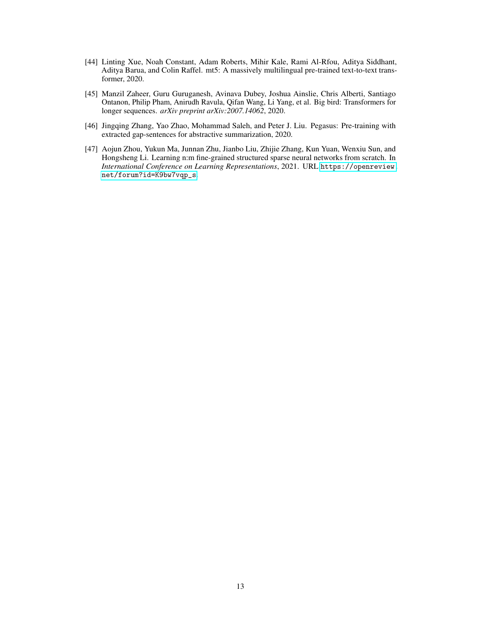- <span id="page-12-0"></span>[44] Linting Xue, Noah Constant, Adam Roberts, Mihir Kale, Rami Al-Rfou, Aditya Siddhant, Aditya Barua, and Colin Raffel. mt5: A massively multilingual pre-trained text-to-text transformer, 2020.
- <span id="page-12-3"></span>[45] Manzil Zaheer, Guru Guruganesh, Avinava Dubey, Joshua Ainslie, Chris Alberti, Santiago Ontanon, Philip Pham, Anirudh Ravula, Qifan Wang, Li Yang, et al. Big bird: Transformers for longer sequences. *arXiv preprint arXiv:2007.14062*, 2020.
- <span id="page-12-2"></span>[46] Jingqing Zhang, Yao Zhao, Mohammad Saleh, and Peter J. Liu. Pegasus: Pre-training with extracted gap-sentences for abstractive summarization, 2020.
- <span id="page-12-1"></span>[47] Aojun Zhou, Yukun Ma, Junnan Zhu, Jianbo Liu, Zhijie Zhang, Kun Yuan, Wenxiu Sun, and Hongsheng Li. Learning n:m fine-grained structured sparse neural networks from scratch. In *International Conference on Learning Representations*, 2021. URL [https://openreview.](https://openreview.net/forum?id=K9bw7vqp_s) [net/forum?id=K9bw7vqp\\_s](https://openreview.net/forum?id=K9bw7vqp_s).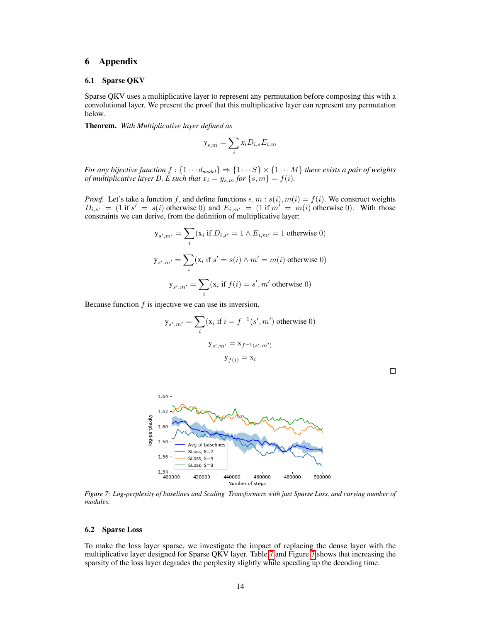# 6 Appendix

#### 6.1 Sparse QKV

Sparse QKV uses a multiplicative layer to represent any permutation before composing this with a convolutional layer. We present the proof that this multiplicative layer can represent any permutation below.

Theorem. *With Multiplicative layer defined as*

$$
y_{s,m} = \sum_{i} x_i D_{i,s} E_{i,m}
$$

*For any bijective function*  $f : \{1 \cdots d_{model}\} \Rightarrow \{1 \cdots S\} \times \{1 \cdots M\}$  *there exists a pair of weights of multiplicative layer D, E such that*  $x_i = y_{s,m}$  *for*  $\{s,m\} = f(i)$ *.* 

*Proof.* Let's take a function f, and define functions  $s, m : s(i), m(i) = f(i)$ . We construct weights  $D_{i,s'} = (1 \text{ if } s' = s(i) \text{ otherwise } 0)$  and  $E_{i,m'} = (1 \text{ if } m' = m(i) \text{ otherwise } 0)$ . With those constraints we can derive, from the definition of multiplicative layer:

$$
y_{s',m'} = \sum_{i} (x_i \text{ if } D_{i,s'} = 1 \land E_{i,m'} = 1 \text{ otherwise } 0)
$$

$$
y_{s',m'} = \sum_{i} (x_i \text{ if } s' = s(i) \land m' = m(i) \text{ otherwise } 0)
$$

$$
y_{s',m'} = \sum_{i} (x_i \text{ if } f(i) = s', m' \text{ otherwise } 0)
$$

Because function  $f$  is injective we can use its inversion.

$$
\mathbf{y}_{s',m'} = \sum_{i} (\mathbf{x}_i \text{ if } i = f^{-1}(s', m') \text{ otherwise } 0)
$$

$$
\mathbf{y}_{s',m'} = \mathbf{x}_{f^{-1}(s',m')}
$$

$$
\mathbf{y}_{f(i)} = \mathbf{x}_i
$$

<span id="page-13-0"></span>

*Figure 7: Log-perplexity of baselines and Scaling Transformers with just Sparse Loss, and varying number of modules.*

### 6.2 Sparse Loss

To make the loss layer sparse, we investigate the impact of replacing the dense layer with the multiplicative layer designed for Sparse QKV layer. Table [7](#page-14-0) and Figure [7](#page-13-0) shows that increasing the sparsity of the loss layer degrades the perplexity slightly while speeding up the decoding time.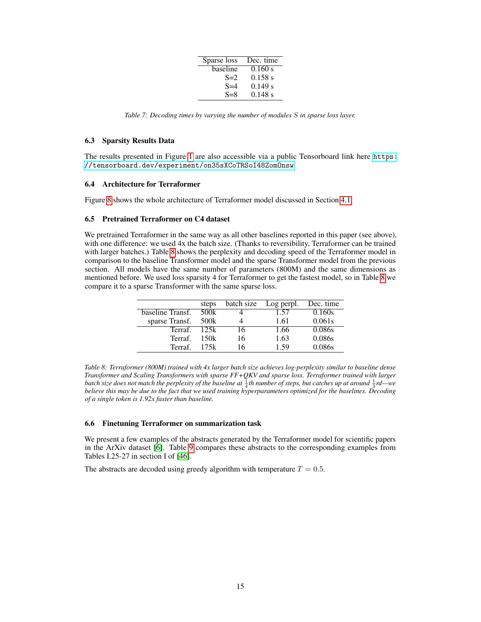| Sparse loss | Dec. time |
|-------------|-----------|
| baseline    | 0.160 s   |
| $S=2$       | 0.158 s   |
| $S = 4$     | 0.149 s   |
| $S = 8$     | 0.148 s   |

<span id="page-14-0"></span>*Table 7: Decoding times by varying the number of modules* S *in sparse loss layer.*

#### 6.3 Sparsity Results Data

The results presented in Figure [1](#page-1-0) are also accessible via a public Tensorboard link here [https:](https://tensorboard.dev/experiment/on35sXCoTRSoI48ZomOnsw) [//tensorboard.dev/experiment/on35sXCoTRSoI48ZomOnsw](https://tensorboard.dev/experiment/on35sXCoTRSoI48ZomOnsw)

#### 6.4 Architecture for Terraformer

Figure [8](#page-15-0) shows the whole architecture of Terraformer model discussed in Section [4.1.](#page-6-2)

#### 6.5 Pretrained Terraformer on C4 dataset

We pretrained Terraformer in the same way as all other baselines reported in this paper (see above), with one difference: we used 4x the batch size. (Thanks to reversibility, Terraformer can be trained with larger batches.) Table [8](#page-14-1) shows the perplexity and decoding speed of the Terraformer model in comparison to the baseline Transformer model and the sparse Transformer model from the previous section. All models have the same number of parameters (800M) and the same dimensions as mentioned before. We used loss sparsity 4 for Terraformer to get the fastest model, so in Table [8](#page-14-1) we compare it to a sparse Transformer with the same sparse loss.

<span id="page-14-1"></span>

|                  | steps | batch size | Log perpl. | Dec. time |
|------------------|-------|------------|------------|-----------|
| baseline Transf. | 500k  |            | 1.57       | 0.160s    |
| sparse Transf.   | 500k  |            | 1.61       | 0.061s    |
| Terraf.          | 12.5k | 16         | 1.66       | 0.086s    |
| Terraf.          | 150k  | 16         | 1.63       | 0.086s    |
| Terraf.          | 175k  | 16         | 1.59       | 0.086s    |

*Table 8: Terraformer (800M) trained with 4x larger batch size achieves log-perplexity similar to baseline dense Transformer and Scaling Transformers with sparse FF+QKV and sparse loss. Terraformer trained with larger* batch size does not match the perplexity of the baseline at  $\frac{1}{4}$ th number of steps, but catches up at around  $\frac{1}{3}$ rd—we baien size abes not match the perplexity of the basetime at <sub>4</sub>th hamber of steps, but calches up at arouna  $\frac{1}{3}$ ha—we<br>believe this may be due to the fact that we used training hyperparameters optimized for the baselin *of a single token is 1.92x faster than baseline.*

## 6.6 Finetuning Terraformer on summarization task

We present a few examples of the abstracts generated by the Terraformer model for scientific papers in the ArXiv dataset [\[6\]](#page-9-8). Table [9](#page-16-0) compares these abstracts to the corresponding examples from Tables I.25-27 in section I of [\[46\]](#page-12-2).

The abstracts are decoded using greedy algorithm with temperature  $T = 0.5$ .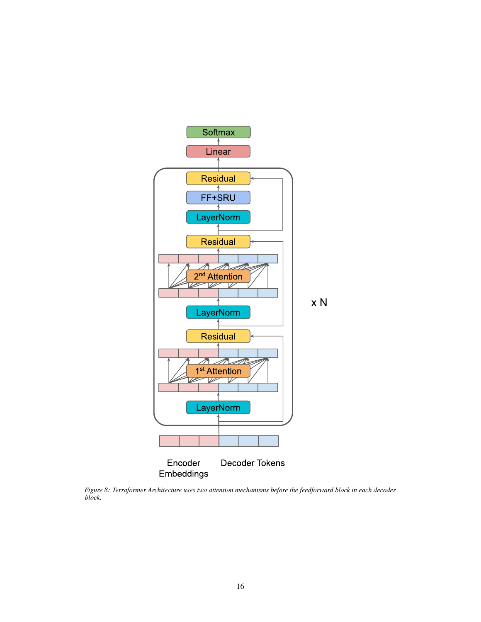<span id="page-15-0"></span>

*Figure 8: Terraformer Architecture uses two attention mechanisms before the feedforward block in each decoder block.*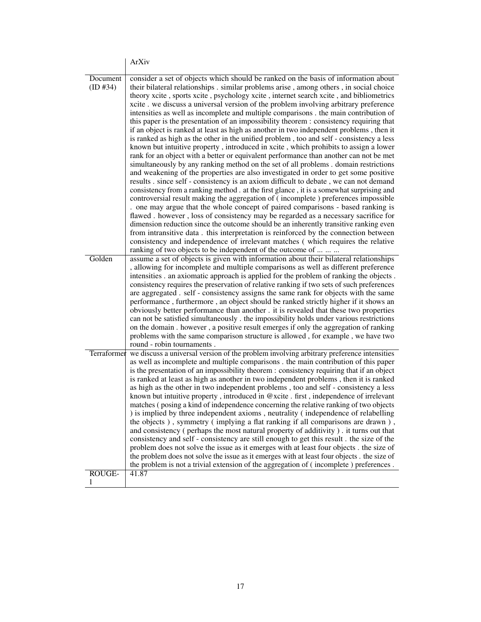<span id="page-16-0"></span>

|                      | ArXiv                                                                                                                                                                                                                                                                                                                                                                                                                                                                                                                                                                                                                                                                                                                                                                                                                                                                                                                                                                                                                                                                                                                                                                                                                                                                                                                                                                                                                                                                                                                                                                                                                                                                                                                                                                                                                                                                                         |
|----------------------|-----------------------------------------------------------------------------------------------------------------------------------------------------------------------------------------------------------------------------------------------------------------------------------------------------------------------------------------------------------------------------------------------------------------------------------------------------------------------------------------------------------------------------------------------------------------------------------------------------------------------------------------------------------------------------------------------------------------------------------------------------------------------------------------------------------------------------------------------------------------------------------------------------------------------------------------------------------------------------------------------------------------------------------------------------------------------------------------------------------------------------------------------------------------------------------------------------------------------------------------------------------------------------------------------------------------------------------------------------------------------------------------------------------------------------------------------------------------------------------------------------------------------------------------------------------------------------------------------------------------------------------------------------------------------------------------------------------------------------------------------------------------------------------------------------------------------------------------------------------------------------------------------|
| Document<br>(ID #34) | consider a set of objects which should be ranked on the basis of information about<br>their bilateral relationships . similar problems arise, among others, in social choice<br>theory xcite, sports xcite, psychology xcite, internet search xcite, and bibliometrics<br>xcite . we discuss a universal version of the problem involving arbitrary preference<br>intensities as well as incomplete and multiple comparisons . the main contribution of<br>this paper is the presentation of an impossibility theorem : consistency requiring that<br>if an object is ranked at least as high as another in two independent problems, then it<br>is ranked as high as the other in the unified problem, too and self - consistency a less<br>known but intuitive property, introduced in xcite, which prohibits to assign a lower<br>rank for an object with a better or equivalent performance than another can not be met<br>simultaneously by any ranking method on the set of all problems . domain restrictions<br>and weakening of the properties are also investigated in order to get some positive<br>results . since self - consistency is an axiom difficult to debate, we can not demand<br>consistency from a ranking method. at the first glance, it is a somewhat surprising and<br>controversial result making the aggregation of (incomplete) preferences impossible<br>one may argue that the whole concept of paired comparisons - based ranking is<br>flawed . however, loss of consistency may be regarded as a necessary sacrifice for<br>dimension reduction since the outcome should be an inherently transitive ranking even<br>from intransitive data. this interpretation is reinforced by the connection between<br>consistency and independence of irrelevant matches (which requires the relative<br>ranking of two objects to be independent of the outcome of |
| Golden               | assume a set of objects is given with information about their bilateral relationships<br>, allowing for incomplete and multiple comparisons as well as different preference<br>intensities . an axiomatic approach is applied for the problem of ranking the objects .<br>consistency requires the preservation of relative ranking if two sets of such preferences<br>are aggregated . self - consistency assigns the same rank for objects with the same<br>performance, furthermore, an object should be ranked strictly higher if it shows an<br>obviously better performance than another . it is revealed that these two properties<br>can not be satisfied simultaneously . the impossibility holds under various restrictions<br>on the domain . however, a positive result emerges if only the aggregation of ranking<br>problems with the same comparison structure is allowed, for example, we have two<br>round - robin tournaments.                                                                                                                                                                                                                                                                                                                                                                                                                                                                                                                                                                                                                                                                                                                                                                                                                                                                                                                                              |
| Terraformer          | we discuss a universal version of the problem involving arbitrary preference intensities<br>as well as incomplete and multiple comparisons . the main contribution of this paper<br>is the presentation of an impossibility theorem : consistency requiring that if an object<br>is ranked at least as high as another in two independent problems, then it is ranked<br>as high as the other in two independent problems, too and self - consistency a less<br>known but intuitive property, introduced in @xcite. first, independence of irrelevant<br>matches (posing a kind of independence concerning the relative ranking of two objects<br>) is implied by three independent axioms, neutrality (independence of relabelling<br>the objects), symmetry (implying a flat ranking if all comparisons are drawn),<br>and consistency (perhaps the most natural property of additivity). it turns out that<br>consistency and self - consistency are still enough to get this result . the size of the<br>problem does not solve the issue as it emerges with at least four objects . the size of<br>the problem does not solve the issue as it emerges with at least four objects . the size of<br>the problem is not a trivial extension of the aggregation of (incomplete) preferences.                                                                                                                                                                                                                                                                                                                                                                                                                                                                                                                                                                                                 |
| ROUGE-<br>1          | 41.87                                                                                                                                                                                                                                                                                                                                                                                                                                                                                                                                                                                                                                                                                                                                                                                                                                                                                                                                                                                                                                                                                                                                                                                                                                                                                                                                                                                                                                                                                                                                                                                                                                                                                                                                                                                                                                                                                         |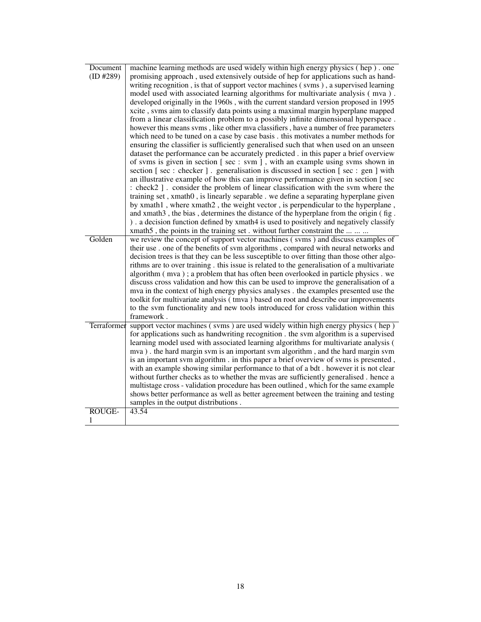| Document      | machine learning methods are used widely within high energy physics (hep). one             |
|---------------|--------------------------------------------------------------------------------------------|
| (ID #289)     | promising approach, used extensively outside of hep for applications such as hand-         |
|               | writing recognition, is that of support vector machines (svms), a supervised learning      |
|               | model used with associated learning algorithms for multivariate analysis (mva).            |
|               | developed originally in the 1960s, with the current standard version proposed in 1995      |
|               | xcite, svms aim to classify data points using a maximal margin hyperplane mapped           |
|               | from a linear classification problem to a possibly infinite dimensional hyperspace.        |
|               | however this means svms, like other mva classifiers, have a number of free parameters      |
|               | which need to be tuned on a case by case basis . this motivates a number methods for       |
|               | ensuring the classifier is sufficiently generalised such that when used on an unseen       |
|               | dataset the performance can be accurately predicted . in this paper a brief overview       |
|               | of svms is given in section [sec : svm ], with an example using svms shown in              |
|               | section [sec : checker]. generalisation is discussed in section [sec : gen ] with          |
|               | an illustrative example of how this can improve performance given in section [sec          |
|               | : check2]. consider the problem of linear classification with the sym where the            |
|               | training set, xmath0, is linearly separable. we define a separating hyperplane given       |
|               | by xmath1, where xmath2, the weight vector, is perpendicular to the hyperplane,            |
|               | and xmath3, the bias, determines the distance of the hyperplane from the origin (fig.      |
|               | ). a decision function defined by xmath4 is used to positively and negatively classify     |
|               | xmath5, the points in the training set. without further constraint the                     |
| Golden        | we review the concept of support vector machines (syms) and discuss examples of            |
|               | their use . one of the benefits of svm algorithms, compared with neural networks and       |
|               | decision trees is that they can be less susceptible to over fitting than those other algo- |
|               | rithms are to over training. this issue is related to the generalisation of a multivariate |
|               | algorithm (mva); a problem that has often been overlooked in particle physics . we         |
|               | discuss cross validation and how this can be used to improve the generalisation of a       |
|               | mva in the context of high energy physics analyses . the examples presented use the        |
|               | toolkit for multivariate analysis (tmva) based on root and describe our improvements       |
|               | to the svm functionality and new tools introduced for cross validation within this         |
|               | framework.                                                                                 |
| Terraformer   | support vector machines (svms) are used widely within high energy physics (hep)            |
|               | for applications such as handwriting recognition. the svm algorithm is a supervised        |
|               | learning model used with associated learning algorithms for multivariate analysis (        |
|               | mva). the hard margin svm is an important svm algorithm, and the hard margin svm           |
|               | is an important svm algorithm . in this paper a brief overview of svms is presented,       |
|               | with an example showing similar performance to that of a bdt. however it is not clear      |
|               | without further checks as to whether the mvas are sufficiently generalised. hence a        |
|               | multistage cross - validation procedure has been outlined, which for the same example      |
|               | shows better performance as well as better agreement between the training and testing      |
|               | samples in the output distributions.                                                       |
| <b>ROUGE-</b> | 43.54                                                                                      |
| 1             |                                                                                            |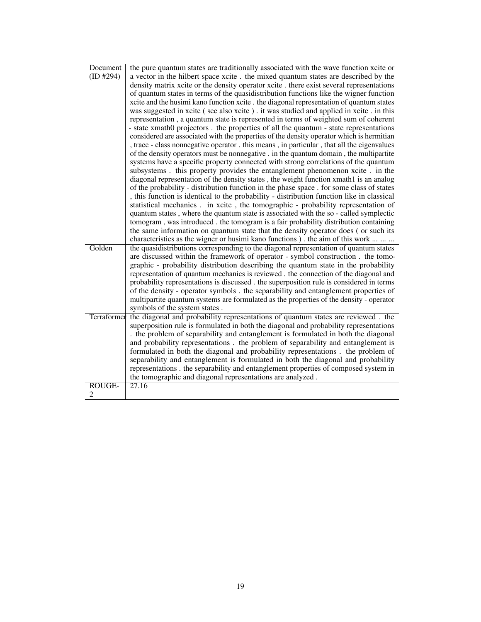| Document    | the pure quantum states are traditionally associated with the wave function xcite or       |
|-------------|--------------------------------------------------------------------------------------------|
| (ID #294)   | a vector in the hilbert space xcite . the mixed quantum states are described by the        |
|             | density matrix xcite or the density operator xcite. there exist several representations    |
|             | of quantum states in terms of the quasidistribution functions like the wigner function     |
|             | xcite and the husimi kano function xcite . the diagonal representation of quantum states   |
|             | was suggested in xcite (see also xcite). it was studied and applied in xcite. in this      |
|             |                                                                                            |
|             | representation, a quantum state is represented in terms of weighted sum of coherent        |
|             | - state xmath0 projectors. the properties of all the quantum - state representations       |
|             | considered are associated with the properties of the density operator which is hermitian   |
|             | , trace - class nonnegative operator . this means, in particular, that all the eigenvalues |
|             | of the density operators must be nonnegative . in the quantum domain, the multipartite     |
|             | systems have a specific property connected with strong correlations of the quantum         |
|             | subsystems. this property provides the entanglement phenomenon xcite. in the               |
|             | diagonal representation of the density states, the weight function xmath1 is an analog     |
|             | of the probability - distribution function in the phase space . for some class of states   |
|             | , this function is identical to the probability - distribution function like in classical  |
|             | statistical mechanics . in xcite, the tomographic - probability representation of          |
|             | quantum states, where the quantum state is associated with the so-called symplectic        |
|             | tomogram, was introduced. the tomogram is a fair probability distribution containing       |
|             | the same information on quantum state that the density operator does (or such its          |
|             | characteristics as the wigner or husimi kano functions). the aim of this work              |
| Golden      | the quasidistributions corresponding to the diagonal representation of quantum states      |
|             | are discussed within the framework of operator - symbol construction. the tomo-            |
|             | graphic - probability distribution describing the quantum state in the probability         |
|             | representation of quantum mechanics is reviewed. the connection of the diagonal and        |
|             | probability representations is discussed. the superposition rule is considered in terms    |
|             | of the density - operator symbols . the separability and entanglement properties of        |
|             | multipartite quantum systems are formulated as the properties of the density - operator    |
|             | symbols of the system states.                                                              |
| Terraformer | the diagonal and probability representations of quantum states are reviewed. the           |
|             | superposition rule is formulated in both the diagonal and probability representations      |
|             | . the problem of separability and entanglement is formulated in both the diagonal          |
|             | and probability representations. the problem of separability and entanglement is           |
|             | formulated in both the diagonal and probability representations . the problem of           |
|             | separability and entanglement is formulated in both the diagonal and probability           |
|             | representations . the separability and entanglement properties of composed system in       |
|             | the tomographic and diagonal representations are analyzed.                                 |
| ROUGE-      | 27.16                                                                                      |
| 2           |                                                                                            |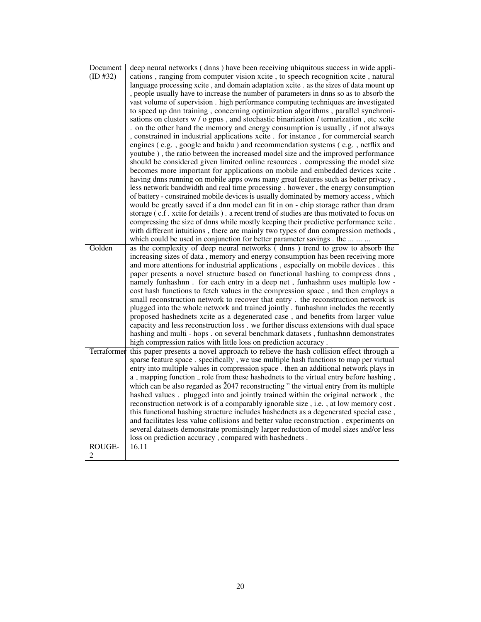| Document      | deep neural networks (dnns) have been receiving ubiquitous success in wide appli-          |
|---------------|--------------------------------------------------------------------------------------------|
| (ID #32)      | cations, ranging from computer vision xcite, to speech recognition xcite, natural          |
|               | language processing xcite, and domain adaptation xcite . as the sizes of data mount up     |
|               | , people usually have to increase the number of parameters in dnns so as to absorb the     |
|               | vast volume of supervision. high performance computing techniques are investigated         |
|               | to speed up dnn training, concerning optimization algorithms, parallel synchroni-          |
|               | sations on clusters w / o gpus, and stochastic binarization / ternarization, etc xcite     |
|               | . on the other hand the memory and energy consumption is usually, if not always            |
|               | , constrained in industrial applications xcite . for instance , for commercial search      |
|               | engines (e.g., google and baidu) and recommendation systems (e.g., netflix and             |
|               | youtube), the ratio between the increased model size and the improved performance          |
|               | should be considered given limited online resources. compressing the model size            |
|               | becomes more important for applications on mobile and embedded devices xcite.              |
|               | having dnns running on mobile apps owns many great features such as better privacy,        |
|               | less network bandwidth and real time processing . however, the energy consumption          |
|               | of battery - constrained mobile devices is usually dominated by memory access, which       |
|               | would be greatly saved if a dnn model can fit in on - chip storage rather than dram        |
|               | storage (c.f. xcite for details). a recent trend of studies are thus motivated to focus on |
|               | compressing the size of dnns while mostly keeping their predictive performance xcite.      |
|               | with different intuitions, there are mainly two types of dnn compression methods,          |
|               | which could be used in conjunction for better parameter savings . the                      |
| Golden        | as the complexity of deep neural networks (dnns) trend to grow to absorb the               |
|               | increasing sizes of data, memory and energy consumption has been receiving more            |
|               | and more attentions for industrial applications, especially on mobile devices. this        |
|               | paper presents a novel structure based on functional hashing to compress dnns,             |
|               | namely funhashnn. for each entry in a deep net, funhashnn uses multiple low -              |
|               | cost hash functions to fetch values in the compression space, and then employs a           |
|               | small reconstruction network to recover that entry . the reconstruction network is         |
|               | plugged into the whole network and trained jointly . funhashnn includes the recently       |
|               | proposed hashednets xcite as a degenerated case, and benefits from larger value            |
|               | capacity and less reconstruction loss . we further discuss extensions with dual space      |
|               | hashing and multi - hops . on several benchmark datasets, funhashnn demonstrates           |
|               | high compression ratios with little loss on prediction accuracy.                           |
| Terraformer   | this paper presents a novel approach to relieve the hash collision effect through a        |
|               | sparse feature space . specifically, we use multiple hash functions to map per virtual     |
|               | entry into multiple values in compression space . then an additional network plays in      |
|               | a _ mapping function _ role from these hashednets to the virtual entry before hashing,     |
|               | which can be also regarded as 2047 reconstructing " the virtual entry from its multiple    |
|               | hashed values . plugged into and jointly trained within the original network, the          |
|               | reconstruction network is of a comparably ignorable size, i.e., at low memory cost.        |
|               | this functional hashing structure includes hashednets as a degenerated special case,       |
|               | and facilitates less value collisions and better value reconstruction . experiments on     |
|               | several datasets demonstrate promisingly larger reduction of model sizes and/or less       |
|               | loss on prediction accuracy, compared with hashednets.                                     |
| <b>ROUGE-</b> | 16.11                                                                                      |
| 2             |                                                                                            |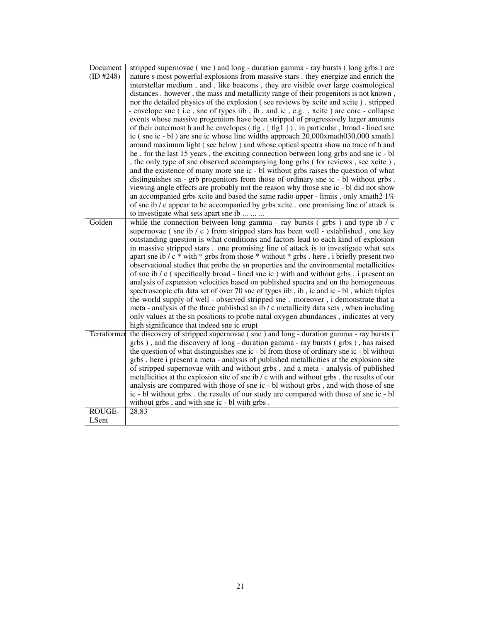| Document<br>(ID #248) | stripped supernovae (sne) and long - duration gamma - ray bursts (long grbs) are<br>nature s most powerful explosions from massive stars . they energize and enrich the<br>interstellar medium, and, like beacons, they are visible over large cosmological<br>distances . however, the mass and metallicity range of their progenitors is not known,<br>nor the detailed physics of the explosion (see reviews by xcite and xcite). stripped<br>- envelope sne (i.e, sne of types iib, ib, and ic, e.g., xcite) are core - collapse<br>events whose massive progenitors have been stripped of progressively larger amounts<br>of their outermost h and he envelopes (fig. [fig1]). in particular, broad - lined sne<br>ic (sne ic - bl) are sne ic whose line widths approach 20,000xmath030,000 xmath1<br>around maximum light (see below) and whose optical spectra show no trace of h and<br>he. for the last 15 years, the exciting connection between long grbs and sne ic - bl<br>, the only type of sne observed accompanying long grbs (for reviews, see xcite),<br>and the existence of many more sne ic - bl without grbs raises the question of what<br>distinguishes sn - grb progenitors from those of ordinary sne ic - bl without grbs.<br>viewing angle effects are probably not the reason why those sne ic - bl did not show<br>an accompanied grbs xcite and based the same radio upper - limits, only xmath2 1%<br>of sne ib / c appear to be accompanied by grbs xcite . one promising line of attack is<br>to investigate what sets apart sne ib |
|-----------------------|-------------------------------------------------------------------------------------------------------------------------------------------------------------------------------------------------------------------------------------------------------------------------------------------------------------------------------------------------------------------------------------------------------------------------------------------------------------------------------------------------------------------------------------------------------------------------------------------------------------------------------------------------------------------------------------------------------------------------------------------------------------------------------------------------------------------------------------------------------------------------------------------------------------------------------------------------------------------------------------------------------------------------------------------------------------------------------------------------------------------------------------------------------------------------------------------------------------------------------------------------------------------------------------------------------------------------------------------------------------------------------------------------------------------------------------------------------------------------------------------------------------------------------------------------------------------------|
| Golden                | while the connection between long gamma - ray bursts (grbs) and type ib / c<br>supernovae (sne ib / c) from stripped stars has been well - established, one key                                                                                                                                                                                                                                                                                                                                                                                                                                                                                                                                                                                                                                                                                                                                                                                                                                                                                                                                                                                                                                                                                                                                                                                                                                                                                                                                                                                                         |
|                       | outstanding question is what conditions and factors lead to each kind of explosion                                                                                                                                                                                                                                                                                                                                                                                                                                                                                                                                                                                                                                                                                                                                                                                                                                                                                                                                                                                                                                                                                                                                                                                                                                                                                                                                                                                                                                                                                      |
|                       | in massive stripped stars. one promising line of attack is to investigate what sets                                                                                                                                                                                                                                                                                                                                                                                                                                                                                                                                                                                                                                                                                                                                                                                                                                                                                                                                                                                                                                                                                                                                                                                                                                                                                                                                                                                                                                                                                     |
|                       | apart sne ib / c * with * grbs from those * without * grbs . here, i briefly present two                                                                                                                                                                                                                                                                                                                                                                                                                                                                                                                                                                                                                                                                                                                                                                                                                                                                                                                                                                                                                                                                                                                                                                                                                                                                                                                                                                                                                                                                                |
|                       | observational studies that probe the sn properties and the environmental metallicities                                                                                                                                                                                                                                                                                                                                                                                                                                                                                                                                                                                                                                                                                                                                                                                                                                                                                                                                                                                                                                                                                                                                                                                                                                                                                                                                                                                                                                                                                  |
|                       | of sne ib $/c$ (specifically broad - lined sne ic) with and without grbs $\therefore$ i present an                                                                                                                                                                                                                                                                                                                                                                                                                                                                                                                                                                                                                                                                                                                                                                                                                                                                                                                                                                                                                                                                                                                                                                                                                                                                                                                                                                                                                                                                      |
|                       | analysis of expansion velocities based on published spectra and on the homogeneous                                                                                                                                                                                                                                                                                                                                                                                                                                                                                                                                                                                                                                                                                                                                                                                                                                                                                                                                                                                                                                                                                                                                                                                                                                                                                                                                                                                                                                                                                      |
|                       | spectroscopic cfa data set of over 70 sne of types iib, ib, ic and ic - bl, which triples<br>the world supply of well - observed stripped sne. moreover, i demonstrate that a                                                                                                                                                                                                                                                                                                                                                                                                                                                                                                                                                                                                                                                                                                                                                                                                                                                                                                                                                                                                                                                                                                                                                                                                                                                                                                                                                                                           |
|                       | meta - analysis of the three published sn ib / c metallicity data sets, when including                                                                                                                                                                                                                                                                                                                                                                                                                                                                                                                                                                                                                                                                                                                                                                                                                                                                                                                                                                                                                                                                                                                                                                                                                                                                                                                                                                                                                                                                                  |
|                       | only values at the sn positions to probe natal oxygen abundances, indicates at very                                                                                                                                                                                                                                                                                                                                                                                                                                                                                                                                                                                                                                                                                                                                                                                                                                                                                                                                                                                                                                                                                                                                                                                                                                                                                                                                                                                                                                                                                     |
|                       | high significance that indeed sne ic erupt                                                                                                                                                                                                                                                                                                                                                                                                                                                                                                                                                                                                                                                                                                                                                                                                                                                                                                                                                                                                                                                                                                                                                                                                                                                                                                                                                                                                                                                                                                                              |
|                       | Terraformer the discovery of stripped supernovae (sne) and long - duration gamma - ray bursts (                                                                                                                                                                                                                                                                                                                                                                                                                                                                                                                                                                                                                                                                                                                                                                                                                                                                                                                                                                                                                                                                                                                                                                                                                                                                                                                                                                                                                                                                         |
|                       | grbs), and the discovery of long - duration gamma - ray bursts (grbs), has raised                                                                                                                                                                                                                                                                                                                                                                                                                                                                                                                                                                                                                                                                                                                                                                                                                                                                                                                                                                                                                                                                                                                                                                                                                                                                                                                                                                                                                                                                                       |
|                       | the question of what distinguishes sne ic - bl from those of ordinary sne ic - bl without                                                                                                                                                                                                                                                                                                                                                                                                                                                                                                                                                                                                                                                                                                                                                                                                                                                                                                                                                                                                                                                                                                                                                                                                                                                                                                                                                                                                                                                                               |
|                       | grbs. here i present a meta - analysis of published metallicities at the explosion site                                                                                                                                                                                                                                                                                                                                                                                                                                                                                                                                                                                                                                                                                                                                                                                                                                                                                                                                                                                                                                                                                                                                                                                                                                                                                                                                                                                                                                                                                 |
|                       | of stripped supernovae with and without grbs, and a meta - analysis of published                                                                                                                                                                                                                                                                                                                                                                                                                                                                                                                                                                                                                                                                                                                                                                                                                                                                                                                                                                                                                                                                                                                                                                                                                                                                                                                                                                                                                                                                                        |
|                       | metallicities at the explosion site of sne ib / c with and without grbs . the results of our                                                                                                                                                                                                                                                                                                                                                                                                                                                                                                                                                                                                                                                                                                                                                                                                                                                                                                                                                                                                                                                                                                                                                                                                                                                                                                                                                                                                                                                                            |
|                       | analysis are compared with those of sne ic - bl without grbs, and with those of sne                                                                                                                                                                                                                                                                                                                                                                                                                                                                                                                                                                                                                                                                                                                                                                                                                                                                                                                                                                                                                                                                                                                                                                                                                                                                                                                                                                                                                                                                                     |
|                       | ic - bl without grbs. the results of our study are compared with those of sne ic - bl                                                                                                                                                                                                                                                                                                                                                                                                                                                                                                                                                                                                                                                                                                                                                                                                                                                                                                                                                                                                                                                                                                                                                                                                                                                                                                                                                                                                                                                                                   |
|                       | without grbs, and with sne ic - bl with grbs.                                                                                                                                                                                                                                                                                                                                                                                                                                                                                                                                                                                                                                                                                                                                                                                                                                                                                                                                                                                                                                                                                                                                                                                                                                                                                                                                                                                                                                                                                                                           |
| <b>ROUGE-</b>         | 28.83                                                                                                                                                                                                                                                                                                                                                                                                                                                                                                                                                                                                                                                                                                                                                                                                                                                                                                                                                                                                                                                                                                                                                                                                                                                                                                                                                                                                                                                                                                                                                                   |
| LSent                 |                                                                                                                                                                                                                                                                                                                                                                                                                                                                                                                                                                                                                                                                                                                                                                                                                                                                                                                                                                                                                                                                                                                                                                                                                                                                                                                                                                                                                                                                                                                                                                         |